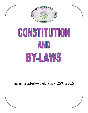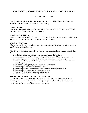# **PRINCE EDWARD COUNTY HORTICULTURALSOCIETY**

# **CONSTITUTION**

The Agricultural and Horticultural Organizations Act, R.S.O., 1990 Chapter A.9, hereinafter called the Act, shall apply to all activities of this Society.

# **Article 1 – NAME**

The name of the organization shall be the PRINCE EDWARD COUNTY HORTICULTURAL SOCIETY, henceforth referred to as "the Society".

# **Article 2 – AUTHORITY**

The society is organized under the authority of the Act. All articles of this constitution shall read to conform with the said Act, whether stated herein or otherwise.

# **Article 3 – PURPOSES**

The purposes of the society shall be in accordance with Section 36, subsections (a) through (i) of the Act which reads as follows:

The objects of the horticultural society are to encourage interest and improvement in horticulture by:

- a) holding meetings respecting the theory and practice of horticulture;
- b) encouraging the planting of trees, shrubs, and flowers on public and private grounds;
- c) promoting balcony and community gardening and outdoor beautification;
- d) arranging field trips, contests, competitions, and exhibitions related to horticulture and awarding prizes;
- e) distributing seeds, plants, bulbs, flowers, trees and shrubs;
- f) promoting the protection of the environment;
- g) promoting the circulation of horticultural information through any media;
- h) promoting the benefits of therapeutic horticulture;
- i) stimulating an interest in the study of horticulture.

# **Article 3 – AMENDMENT OF THE CONSTITUTION**

The constitution may be amended only by a two thirds (2/3) majority vote of those current members present at an AGM or regular meeting. Such proposed amendments must be made available to members at least 60 days before the meeting.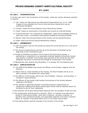# **BY-LAWS**

#### **BY-LAW 1** – **INTERPRETATION**

In the By-Laws and in the Constitution of the Society, unless the context otherwise specifies or requires:

- 1.1 "Act" means the Agricultural and Horticultural Organizations Act, R.S.O. 1990 Chapter A.9 as amended from time to time and every statute that may be substituted thereafter;
- 1.2 "Society" means the Prince Edward County Horticultural Society;
- 1.3 "Audit" means an examination of the books and records by Financial Review;
- 1.4 "Financial Reviews" are conducted by independent, object and knowledge persons at least once a year, in accordance with general accepted accounting principles;
- 1.5 "Board" means the Executive Board of the Society and the elected Directors.
- 1.6 "AGM" means the Annual General Membership meeting

### **BY-LAW 2** − **MEMBERSHIP**

- 2.1 Item Any person may join the society by paying the annual fee set out in a by-law of the society;
- 2.2 The annual membership fee shall be set at the discretion of the Board at the beginning of each membership year;
- 2.3 Except as otherwise provided in the by-laws of the horticultural society, a partnership or corporation or an association directed towards horticultural interest may become a member of the society upon payment of the annual fee and shall designate one person to exercise the privilege of membership in the society;
- 2.4 Membership Year shall be from November  $1<sup>st</sup>$  to October 30<sup>th</sup> the following year.

#### **BY-LAW 3** – **ADMINISTRATION**

- 3.1 The EXECUTIVE BOARD shall consist the Officers of the Society, together with the directors;
- 3.2 Where there is a Past-President of the Society, the Past-President will be an ex officio member of the Board with voting rights;
- 3.3 The Officers of the Society shall be the, Vice-President, Treasurer, and Secretary, if members in good standing;
- 3.4 The Officers of the Society shall transact the business of the Society between meetings of the Board;
- 3.5 Any elected or appointed member of the Board failing to attend three (3) consecutive meeting of the Board without good reason shall be deemed reason for the Board to ask for their resignation;
- 3.6 No expenses will be paid without Board approval with the exception of fees and rent;
- 3.7 No compensation shall be paid to a director, officer, or member of an agricultural society or horticultural society, other than a treasurer, secretary-treasurer, or secretary from outside the Society, but reasonable expenses incurred by a director, officer, or member in the performance of his or her duties may be paid;
- 3.8 The signing officers shall be recorded in the minutes of the society.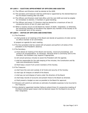## **BY-LAW 4** − **ELECTION/APPOINTMENT OF OFFICERS AND AUDITOR**

- 4.1 The Officers and Directors shall be elected at the AGM;
- 4.2 The secretary and treasurer shall be confirmed or appointed by the elected Board at the first Board meeting after the AGM;
- 4.3 The Officers and Directors shall hold office until the next AGM and shall be eligible for immediate re-election, if members in good standing;
- 4.4 The Officers and seven (7) Directors shall be elected for a maximum of two (2) consecutive terms of two (2) years each term;
- 4.5 When a vacancy occurs on the Board by reason of death, resignation, or otherwise, the remaining members of the Board may appoint any member of the Society to fill the remainder term of the vacancy.

#### **BY-LAW 5** − **DUTIES OF OFFICERS AND DIRECTORS**

- 5.1 The President:
	- a) shall preside at all meetings of the Board and decide all questions of order and be ex-officio member of all committees;
	- b) prepare an agenda for each meeting;
- 5.2 The Vice-president shall be vested with all powers and perform all duties of the president in the President's absence;
- 5.3 The Secretary:
	- a) Shall attend all meeting of the Board and Society, record all proceedings, and conduct all correspondence, as necessary. Because email is commonly sent to the President, the President may respond if appropriate;
	- b) will consult previous minutes to assist the President with the agenda;
	- c) shall be responsible for the safe keeping of the minutes, the Constitution and By- Laws and amendments thereto;
	- d) Shall keep a record if all current members of the Society.

5.4 The Treasurer:

- a) shall have the care and custody of all funds and security of the Society;
- b) shall sign all cheques on behalf of the Board;
- c) shall pay out and dispose of same under the direction of the Board;
- d) shall keep records of accounts and present these to the Board as directed;
- e) Shall present a budget as soon as possible to the Board for approval;
- 5.5 Directors will submit an estimate an estimate of probable expenses to be incurred to the Treasurer;
- 5.6 Any elected or appointed member failing to attend three (3) consecutive meeting of the Board without good reason shall be deemed reason for the Board to be ask for their resignation.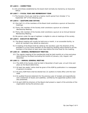#### **BY-LAW 6** − **COMMITTEES**

6.1 All committees established by the board shall normally be chaired by an Executive Officer

## **BY-LAW 7 − FISCAL YEAR AND MEMBERSHIP YEAR**

7.1 The Society's fiscal year shall be a twelve month period from October  $1<sup>st</sup>$  to September 30<sup>th</sup> of the following year.

#### **BY-LAW 8 − QUOTUMS AND VOTING**

- 8.1 One half  $(y_2)$  of the members of the Board shall constitute a quorum at Executive meetings;
- 8.2 Thirty (30) member of the Society shall constitute a quorum at a General Membership Meeting;
- 8.3 Thirty (30) member of the Society shall constitute a quorum at an Annual General Membership Meeting;
- 8.4 No person under the age of eighteen is eligible to vote at meetings of the society.

#### **BY-LAW 9 – EXECUTIVE MEETING**

- 9.1 The Board meeting will usually be held once a month, in an accessible facility, to which all members may attend as observers;
- 9.2 A meeting of the Board shall be called by the secretary upon the direction of the president or of any three members of the board by sending notice thereof to all the members of the board at least seven days before the time fixed for the meeting.

## **BY-LAW 10** − **GENERAL MEMBERSHIP MEETING**

10.1 The regular meeting of the membership shall be held monthly at a time and place determined by the Board excluding the months of January, July, August, and December.

## **BY-LAW 11 − ANNUAL GENERAL MEETING**

- 11.1 The AGM of the Society shall be held in November of each year, at such time and place as the Board determines;
- 11.2 At least two weeks' notice shall be given of the AGM by publication in a newspaper of general circulation;
- 11.3 At every AGM there shall be elected two (2) auditors to holds office until the next AGM;
- 11.4 An audited financial statement for the previous year of receipts and expenditures and a statement of Assets and Liabilities, certified by the appointed auditors shall also presented;
- 11.5 At each AGM the directors of the Board shall present a report of the activities of the organization during the previous year.